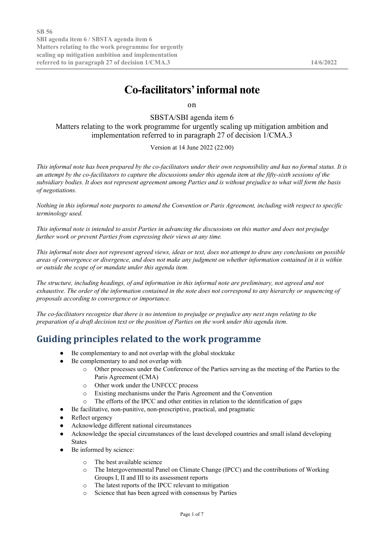# **Co-facilitators'informal note**

on

SBSTA/SBI agenda item 6

Matters relating to the work programme for urgently scaling up mitigation ambition and implementation referred to in paragraph 27 of decision 1/CMA.3

Version at 14 June 2022 (22:00)

*This informal note has been prepared by the co-facilitators under their own responsibility and has no formal status. It is an attempt by the co-facilitators to capture the discussions under this agenda item at the fifty-sixth sessions of the subsidiary bodies. It does not represent agreement among Parties and is without prejudice to what will form the basis of negotiations.*

*Nothing in this informal note purports to amend the Convention or Paris Agreement, including with respect to specific terminology used.*

*This informal note is intended to assist Parties in advancing the discussions on this matter and does not prejudge further work or prevent Parties from expressing their views at any time.*

*This informal note does not represent agreed views, ideas or text, does not attempt to draw any conclusions on possible areas of convergence or divergence, and does not make any judgment on whether information contained in it is within or outside the scope of or mandate under this agenda item.*

*The structure, including headings, of and information in this informal note are preliminary, not agreed and not exhaustive. The order of the information contained in the note does not correspond to any hierarchy or sequencing of proposals according to convergence or importance.*

*The co-facilitators recognize that there is no intention to prejudge or prejudice any next steps relating to the preparation of a draft decision text or the position of Parties on the work under this agenda item.*

# **Guiding principles related to the work programme**

- Be complementary to and not overlap with the global stocktake
- Be complementary to and not overlap with
	- o Other processes under the Conference of the Parties serving as the meeting of the Parties to the Paris Agreement (CMA)
	- o Other work under the UNFCCC process
	- o Existing mechanisms under the Paris Agreement and the Convention
	- o The efforts of the IPCC and other entities in relation to the identification of gaps
- Be facilitative, non-punitive, non-prescriptive, practical, and pragmatic
- Reflect urgency
- Acknowledge different national circumstances
- Acknowledge the special circumstances of the least developed countries and small island developing States
- Be informed by science:
	- o The best available science
	- o The Intergovernmental Panel on Climate Change (IPCC) and the contributions of Working Groups I, II and III to its assessment reports
	- o The latest reports of the IPCC relevant to mitigation
	- o Science that has been agreed with consensus by Parties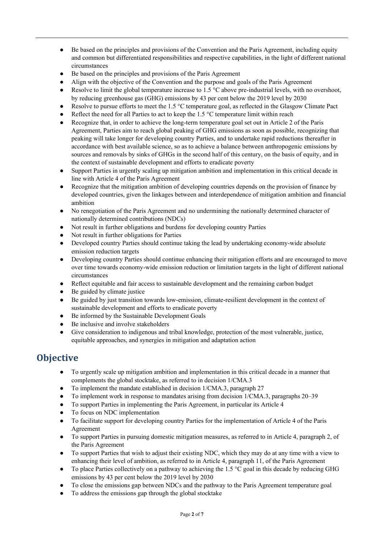- Be based on the principles and provisions of the Convention and the Paris Agreement, including equity and common but differentiated responsibilities and respective capabilities, in the light of different national circumstances
- Be based on the principles and provisions of the Paris Agreement
- Align with the objective of the Convention and the purpose and goals of the Paris Agreement
- Resolve to limit the global temperature increase to 1.5  $^{\circ}$ C above pre-industrial levels, with no overshoot, by reducing greenhouse gas (GHG) emissions by 43 per cent below the 2019 level by 2030
- Resolve to pursue efforts to meet the 1.5 °C temperature goal, as reflected in the Glasgow Climate Pact
- Reflect the need for all Parties to act to keep the 1.5  $^{\circ}$ C temperature limit within reach
- Recognize that, in order to achieve the long-term temperature goal set out in Article 2 of the Paris Agreement, Parties aim to reach global peaking of GHG emissions as soon as possible, recognizing that peaking will take longer for developing country Parties, and to undertake rapid reductions thereafter in accordance with best available science, so as to achieve a balance between anthropogenic emissions by sources and removals by sinks of GHGs in the second half of this century, on the basis of equity, and in the context of sustainable development and efforts to eradicate poverty
- Support Parties in urgently scaling up mitigation ambition and implementation in this critical decade in line with Article 4 of the Paris Agreement
- Recognize that the mitigation ambition of developing countries depends on the provision of finance by developed countries, given the linkages between and interdependence of mitigation ambition and financial ambition
- No renegotiation of the Paris Agreement and no undermining the nationally determined character of nationally determined contributions (NDCs)
- Not result in further obligations and burdens for developing country Parties
- Not result in further obligations for Parties
- Developed country Parties should continue taking the lead by undertaking economy-wide absolute emission reduction targets
- Developing country Parties should continue enhancing their mitigation efforts and are encouraged to move over time towards economy-wide emission reduction or limitation targets in the light of different national circumstances
- Reflect equitable and fair access to sustainable development and the remaining carbon budget
- Be guided by climate justice
- Be guided by just transition towards low-emission, climate-resilient development in the context of sustainable development and efforts to eradicate poverty
- Be informed by the Sustainable Development Goals
- Be inclusive and involve stakeholders
- Give consideration to indigenous and tribal knowledge, protection of the most vulnerable, justice, equitable approaches, and synergies in mitigation and adaptation action

## **Objective**

- To urgently scale up mitigation ambition and implementation in this critical decade in a manner that complements the global stocktake, as referred to in decision 1/CMA.3
- To implement the mandate established in decision 1/CMA.3, paragraph 27
- To implement work in response to mandates arising from decision 1/CMA.3, paragraphs 20–39
- To support Parties in implementing the Paris Agreement, in particular its Article 4
- To focus on NDC implementation
- To facilitate support for developing country Parties for the implementation of Article 4 of the Paris Agreement
- To support Parties in pursuing domestic mitigation measures, as referred to in Article 4, paragraph 2, of the Paris Agreement
- To support Parties that wish to adjust their existing NDC, which they may do at any time with a view to enhancing their level of ambition, as referred to in Article 4, paragraph 11, of the Paris Agreement
- To place Parties collectively on a pathway to achieving the 1.5 °C goal in this decade by reducing GHG emissions by 43 per cent below the 2019 level by 2030
- To close the emissions gap between NDCs and the pathway to the Paris Agreement temperature goal
- To address the emissions gap through the global stocktake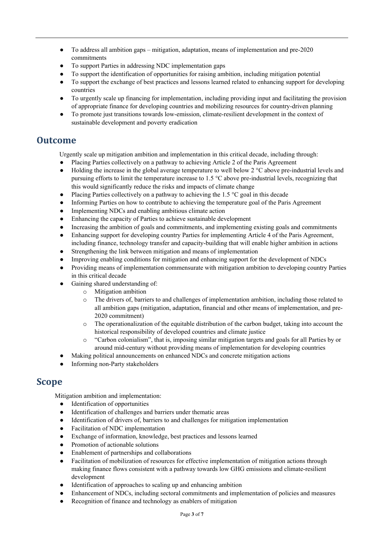- To address all ambition gaps mitigation, adaptation, means of implementation and pre-2020 commitments
- To support Parties in addressing NDC implementation gaps
- To support the identification of opportunities for raising ambition, including mitigation potential
- To support the exchange of best practices and lessons learned related to enhancing support for developing countries
- To urgently scale up financing for implementation, including providing input and facilitating the provision of appropriate finance for developing countries and mobilizing resources for country-driven planning
- To promote just transitions towards low-emission, climate-resilient development in the context of sustainable development and poverty eradication

#### **Outcome**

Urgently scale up mitigation ambition and implementation in this critical decade, including through:

- Placing Parties collectively on a pathway to achieving Article 2 of the Paris Agreement
- Holding the increase in the global average temperature to well below  $2^{\circ}$ C above pre-industrial levels and pursuing efforts to limit the temperature increase to 1.5 °C above pre-industrial levels, recognizing that this would significantly reduce the risks and impacts of climate change
- Placing Parties collectively on a pathway to achieving the 1.5  $\degree$ C goal in this decade
- Informing Parties on how to contribute to achieving the temperature goal of the Paris Agreement
- Implementing NDCs and enabling ambitious climate action
- Enhancing the capacity of Parties to achieve sustainable development
- Increasing the ambition of goals and commitments, and implementing existing goals and commitments
- Enhancing support for developing country Parties for implementing Article 4 of the Paris Agreement, including finance, technology transfer and capacity-building that will enable higher ambition in actions
- Strengthening the link between mitigation and means of implementation
- Improving enabling conditions for mitigation and enhancing support for the development of NDCs
- Providing means of implementation commensurate with mitigation ambition to developing country Parties in this critical decade
- Gaining shared understanding of:
	- o Mitigation ambition
	- o The drivers of, barriers to and challenges of implementation ambition, including those related to all ambition gaps (mitigation, adaptation, financial and other means of implementation, and pre-2020 commitment)
	- $\circ$  The operationalization of the equitable distribution of the carbon budget, taking into account the historical responsibility of developed countries and climate justice
	- o "Carbon colonialism", that is, imposing similar mitigation targets and goals for all Parties by or around mid-century without providing means of implementation for developing countries
- Making political announcements on enhanced NDCs and concrete mitigation actions
- Informing non-Party stakeholders

#### **Scope**

Mitigation ambition and implementation:

- Identification of opportunities
- Identification of challenges and barriers under thematic areas
- Identification of drivers of, barriers to and challenges for mitigation implementation
- Facilitation of NDC implementation
- Exchange of information, knowledge, best practices and lessons learned
- Promotion of actionable solutions
- Enablement of partnerships and collaborations
- Facilitation of mobilization of resources for effective implementation of mitigation actions through making finance flows consistent with a pathway towards low GHG emissions and climate-resilient development
- Identification of approaches to scaling up and enhancing ambition
- Enhancement of NDCs, including sectoral commitments and implementation of policies and measures
- Recognition of finance and technology as enablers of mitigation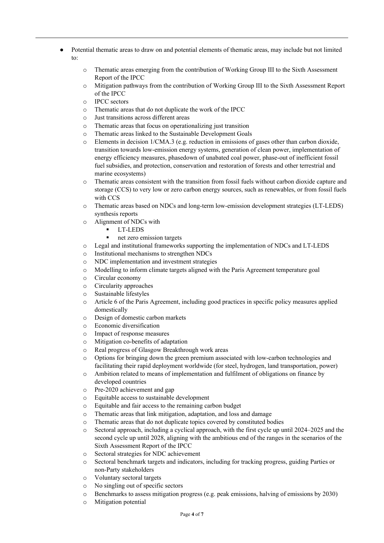- Potential thematic areas to draw on and potential elements of thematic areas, may include but not limited to:
	- o Thematic areas emerging from the contribution of Working Group III to the Sixth Assessment Report of the IPCC
	- o Mitigation pathways from the contribution of Working Group III to the Sixth Assessment Report of the IPCC
	- o IPCC sectors
	- o Thematic areas that do not duplicate the work of the IPCC
	- o Just transitions across different areas
	- o Thematic areas that focus on operationalizing just transition
	- o Thematic areas linked to the Sustainable Development Goals
	- o Elements in decision 1/CMA.3 (e.g. reduction in emissions of gases other than carbon dioxide, transition towards low-emission energy systems, generation of clean power, implementation of energy efficiency measures, phasedown of unabated coal power, phase-out of inefficient fossil fuel subsidies, and protection, conservation and restoration of forests and other terrestrial and marine ecosystems)
	- o Thematic areas consistent with the transition from fossil fuels without carbon dioxide capture and storage (CCS) to very low or zero carbon energy sources, such as renewables, or from fossil fuels with CCS
	- o Thematic areas based on NDCs and long-term low-emission development strategies (LT-LEDS) synthesis reports
	- o Alignment of NDCs with
		- LT-LEDS
		- net zero emission targets
	- o Legal and institutional frameworks supporting the implementation of NDCs and LT-LEDS
	- o Institutional mechanisms to strengthen NDCs
	- o NDC implementation and investment strategies
	- o Modelling to inform climate targets aligned with the Paris Agreement temperature goal
	- o Circular economy
	- o Circularity approaches
	- o Sustainable lifestyles
	- o Article 6 of the Paris Agreement, including good practices in specific policy measures applied domestically
	- o Design of domestic carbon markets
	- o Economic diversification
	- o Impact of response measures
	- o Mitigation co-benefits of adaptation
	- o Real progress of Glasgow Breakthrough work areas
	- o Options for bringing down the green premium associated with low-carbon technologies and facilitating their rapid deployment worldwide (for steel, hydrogen, land transportation, power)
	- o Ambition related to means of implementation and fulfilment of obligations on finance by developed countries
	- o Pre-2020 achievement and gap
	- o Equitable access to sustainable development
	- o Equitable and fair access to the remaining carbon budget
	- o Thematic areas that link mitigation, adaptation, and loss and damage
	- o Thematic areas that do not duplicate topics covered by constituted bodies
	- o Sectoral approach, including a cyclical approach, with the first cycle up until 2024–2025 and the second cycle up until 2028, aligning with the ambitious end of the ranges in the scenarios of the Sixth Assessment Report of the IPCC
	- o Sectoral strategies for NDC achievement
	- o Sectoral benchmark targets and indicators, including for tracking progress, guiding Parties or non-Party stakeholders
	- o Voluntary sectoral targets
	- o No singling out of specific sectors
	- o Benchmarks to assess mitigation progress (e.g. peak emissions, halving of emissions by 2030)
	- o Mitigation potential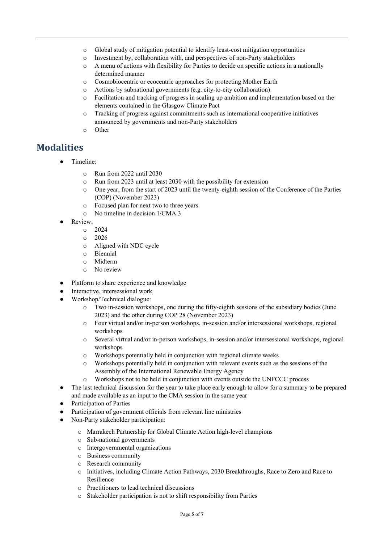- o Global study of mitigation potential to identify least-cost mitigation opportunities
- o Investment by, collaboration with, and perspectives of non-Party stakeholders
- o A menu of actions with flexibility for Parties to decide on specific actions in a nationally determined manner
- o Cosmobiocentric or ecocentric approaches for protecting Mother Earth
- o Actions by subnational governments (e.g. city-to-city collaboration)
- $\circ$  Facilitation and tracking of progress in scaling up ambition and implementation based on the elements contained in the Glasgow Climate Pact
- o Tracking of progress against commitments such as international cooperative initiatives announced by governments and non-Party stakeholders
- o Other

# **Modalities**

- Timeline:
	- o Run from 2022 until 2030
	- o Run from 2023 until at least 2030 with the possibility for extension
	- o One year, from the start of 2023 until the twenty-eighth session of the Conference of the Parties (COP) (November 2023)
	- o Focused plan for next two to three years
	- o No timeline in decision 1/CMA.3
- Review:
	- $\circ$  2024
	- $0.2026$
	- o Aligned with NDC cycle
	- o Biennial
	- o Midterm
	- o No review
- Platform to share experience and knowledge
	- Interactive, intersessional work
- Workshop/Technical dialogue:
	- Two in-session workshops, one during the fifty-eighth sessions of the subsidiary bodies (June 2023) and the other during COP 28 (November 2023)
	- o Four virtual and/or in-person workshops, in-session and/or intersessional workshops, regional workshops
	- o Several virtual and/or in-person workshops, in-session and/or intersessional workshops, regional workshops
	- o Workshops potentially held in conjunction with regional climate weeks
	- o Workshops potentially held in conjunction with relevant events such as the sessions of the Assembly of the International Renewable Energy Agency
	- o Workshops not to be held in conjunction with events outside the UNFCCC process
- The last technical discussion for the year to take place early enough to allow for a summary to be prepared and made available as an input to the CMA session in the same year
- Participation of Parties
- Participation of government officials from relevant line ministries
- Non-Party stakeholder participation:
	- o Marrakech Partnership for Global Climate Action high-level champions
	- o Sub-national governments
	- o Intergovernmental organizations
	- o Business community
	- o Research community
	- o Initiatives, including Climate Action Pathways, 2030 Breakthroughs, Race to Zero and Race to Resilience
	- o Practitioners to lead technical discussions
	- o Stakeholder participation is not to shift responsibility from Parties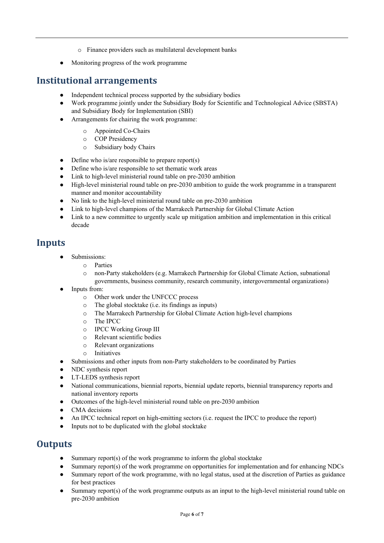- o Finance providers such as multilateral development banks
- Monitoring progress of the work programme

#### **Institutional arrangements**

- Independent technical process supported by the subsidiary bodies
- Work programme jointly under the Subsidiary Body for Scientific and Technological Advice (SBSTA) and Subsidiary Body for Implementation (SBI)
- Arrangements for chairing the work programme:
	- o Appointed Co-Chairs
	- o COP Presidency
	- o Subsidiary body Chairs
- $\bullet$  Define who is/are responsible to prepare report(s)
- Define who is/are responsible to set thematic work areas
- Link to high-level ministerial round table on pre-2030 ambition
- High-level ministerial round table on pre-2030 ambition to guide the work programme in a transparent manner and monitor accountability
- No link to the high-level ministerial round table on pre-2030 ambition
- Link to high-level champions of the Marrakech Partnership for Global Climate Action
- Link to a new committee to urgently scale up mitigation ambition and implementation in this critical decade

#### **Inputs**

- Submissions:
	- o Parties
		- o non-Party stakeholders (e.g. Marrakech Partnership for Global Climate Action, subnational governments, business community, research community, intergovernmental organizations)
- Inputs from:
	- o Other work under the UNFCCC process
	- o The global stocktake (i.e. its findings as inputs)
	- o The Marrakech Partnership for Global Climate Action high-level champions
	- o The IPCC
	- o IPCC Working Group III
	- o Relevant scientific bodies
	- o Relevant organizations
	- o Initiatives
- Submissions and other inputs from non-Party stakeholders to be coordinated by Parties
- NDC synthesis report
- LT-LEDS synthesis report
- National communications, biennial reports, biennial update reports, biennial transparency reports and national inventory reports
- Outcomes of the high-level ministerial round table on pre-2030 ambition
- CMA decisions
- An IPCC technical report on high-emitting sectors (i.e. request the IPCC to produce the report)
- Inputs not to be duplicated with the global stocktake

## **Outputs**

- Summary report(s) of the work programme to inform the global stocktake
- Summary report(s) of the work programme on opportunities for implementation and for enhancing NDCs
- Summary report of the work programme, with no legal status, used at the discretion of Parties as guidance for best practices
- Summary report(s) of the work programme outputs as an input to the high-level ministerial round table on pre-2030 ambition